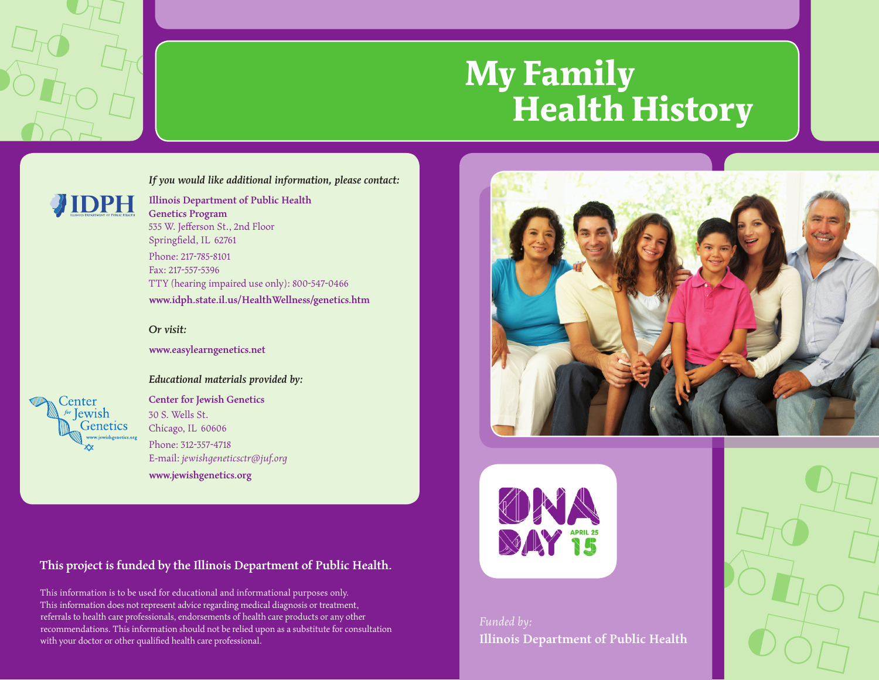

# **My Family Health History**

#### *If you would like additional information, please contact:*



**Illinois Department of Public Health Genetics Program** 535 W. Jefferson St., 2nd Floor Springfield, IL 62761 Phone: 217-785-8101 Fax: 217-557-5396 TTY (hearing impaired use only): 800-547-0466 **www.idph.state.il.us/HealthWellness/genetics.htm**



**www.easylearngenetics.net**



*Educational materials provided by:*

**Center for Jewish Genetics** 30 S. Wells St. Chicago, IL 60606 Phone: 312-357-4718 E-mail: *jewishgeneticsctr@juf.org* **www.jewishgenetics.org**

**This project is funded by the Illinois Department of Public Health.**

This information is to be used for educational and informational purposes only. This information does not represent advice regarding medical diagnosis or treatment, referrals to health care professionals, endorsements of health care products or any other recommendations. This information should not be relied upon as a substitute for consultation with your doctor or other qualified health care professional.





*Funded by:* **Illinois Department of Public Health**